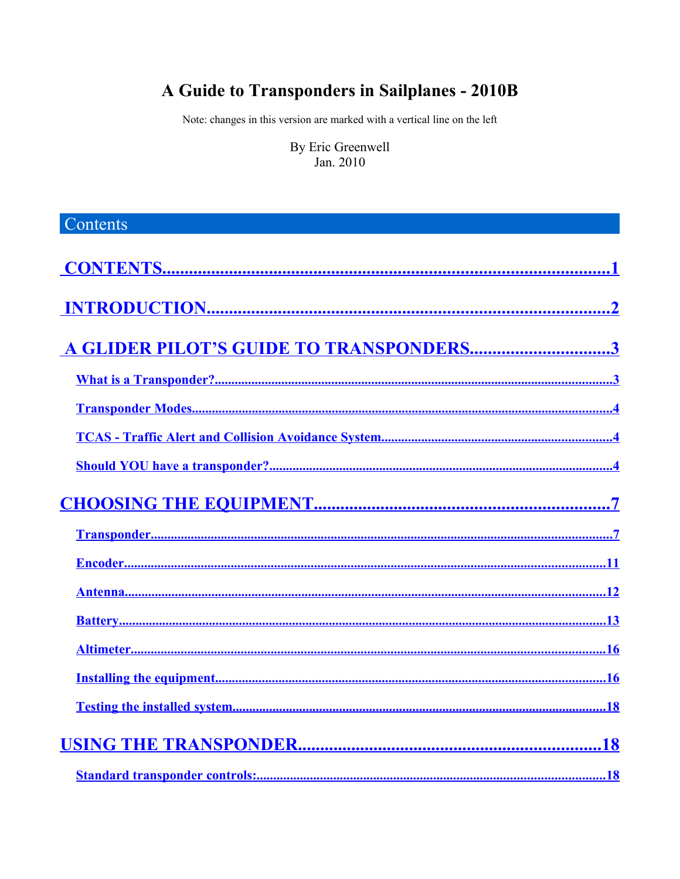# A Guide to Transponders in Sailplanes - 2010B

Note: changes in this version are marked with a vertical line on the left

By Eric Greenwell Jan. 2010

<span id="page-0-0"></span>

| Contents                                |
|-----------------------------------------|
|                                         |
|                                         |
| A GLIDER PILOT'S GUIDE TO TRANSPONDERS3 |
|                                         |
|                                         |
|                                         |
|                                         |
|                                         |
|                                         |
|                                         |
|                                         |
|                                         |
|                                         |
|                                         |
|                                         |
|                                         |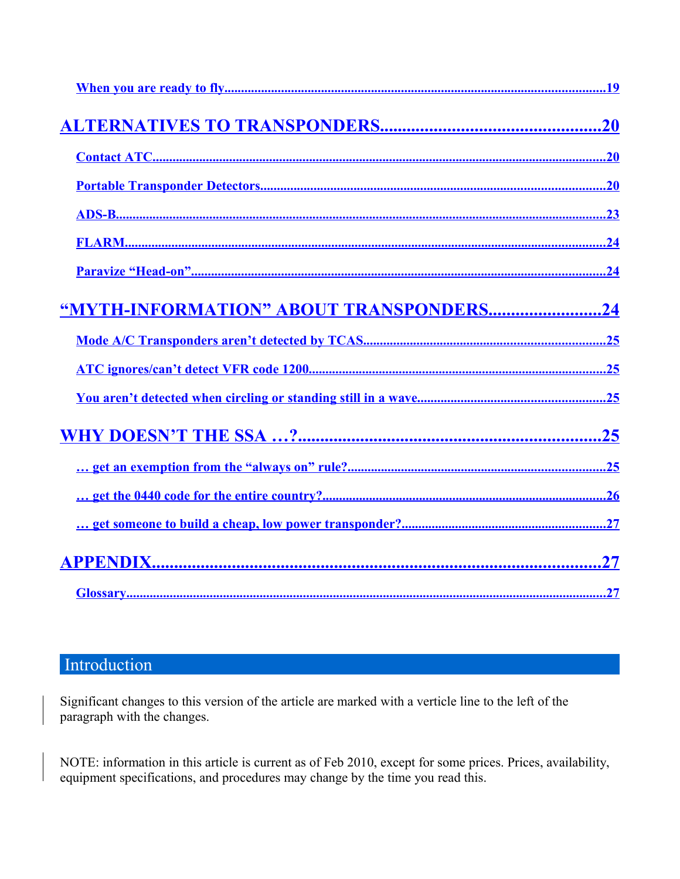<span id="page-1-1"></span>

| "MYTH-INFORMATION" ABOUT TRANSPONDERS24 |
|-----------------------------------------|
|                                         |
|                                         |
|                                         |
|                                         |
|                                         |
|                                         |
|                                         |
|                                         |
|                                         |

# <span id="page-1-0"></span>Introduction

Significant changes to this version of the article are marked with a verticle line to the left of the paragraph with the changes.

NOTE: information in this article is current as of Feb 2010, except for some prices. Prices, availability, equipment specifications, and procedures may change by the time you read this.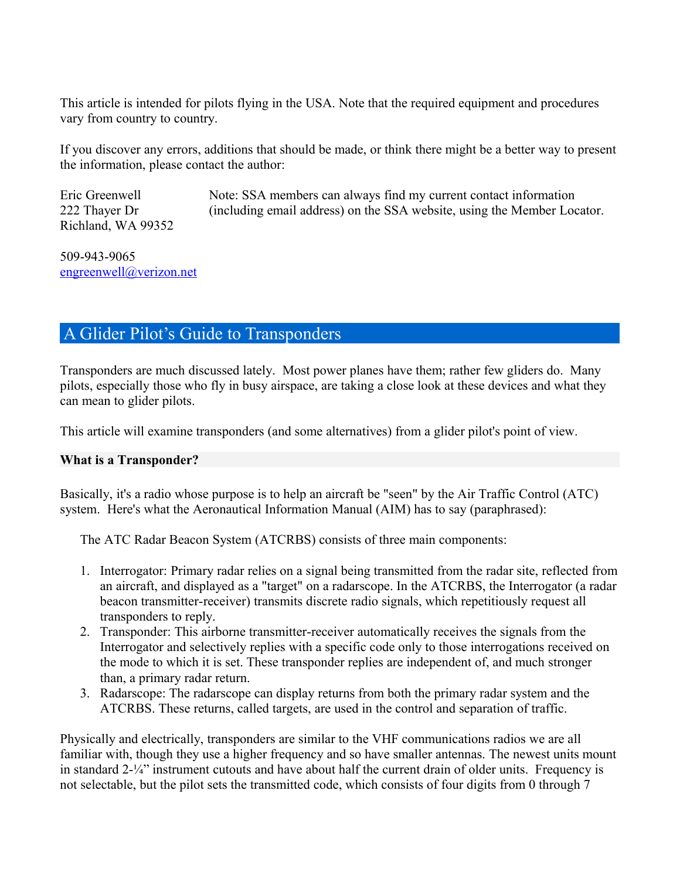This article is intended for pilots flying in the USA. Note that the required equipment and procedures vary from country to country.

If you discover any errors, additions that should be made, or think there might be a better way to present the information, please contact the author:

Eric Greenwell 222 Thayer Dr Richland, WA 99352 Note: SSA members can always find my current contact information (including email address) on the SSA website, using the Member Locator.

509-943-9065 [engreenwell@verizon.net](mailto:engreenwell@verizon.net)

# <span id="page-2-1"></span>A Glider Pilot's Guide to Transponders

Transponders are much discussed lately. Most power planes have them; rather few gliders do. Many pilots, especially those who fly in busy airspace, are taking a close look at these devices and what they can mean to glider pilots.

This article will examine transponders (and some alternatives) from a glider pilot's point of view.

#### <span id="page-2-0"></span>**What is a Transponder?**

Basically, it's a radio whose purpose is to help an aircraft be "seen" by the Air Traffic Control (ATC) system. Here's what the Aeronautical Information Manual (AIM) has to say (paraphrased):

The ATC Radar Beacon System (ATCRBS) consists of three main components:

- 1. Interrogator: Primary radar relies on a signal being transmitted from the radar site, reflected from an aircraft, and displayed as a "target" on a radarscope. In the ATCRBS, the Interrogator (a radar beacon transmitter-receiver) transmits discrete radio signals, which repetitiously request all transponders to reply.
- 2. Transponder: This airborne transmitter-receiver automatically receives the signals from the Interrogator and selectively replies with a specific code only to those interrogations received on the mode to which it is set. These transponder replies are independent of, and much stronger than, a primary radar return.
- 3. Radarscope: The radarscope can display returns from both the primary radar system and the ATCRBS. These returns, called targets, are used in the control and separation of traffic.

Physically and electrically, transponders are similar to the VHF communications radios we are all familiar with, though they use a higher frequency and so have smaller antennas. The newest units mount in standard 2-¼" instrument cutouts and have about half the current drain of older units. Frequency is not selectable, but the pilot sets the transmitted code, which consists of four digits from 0 through 7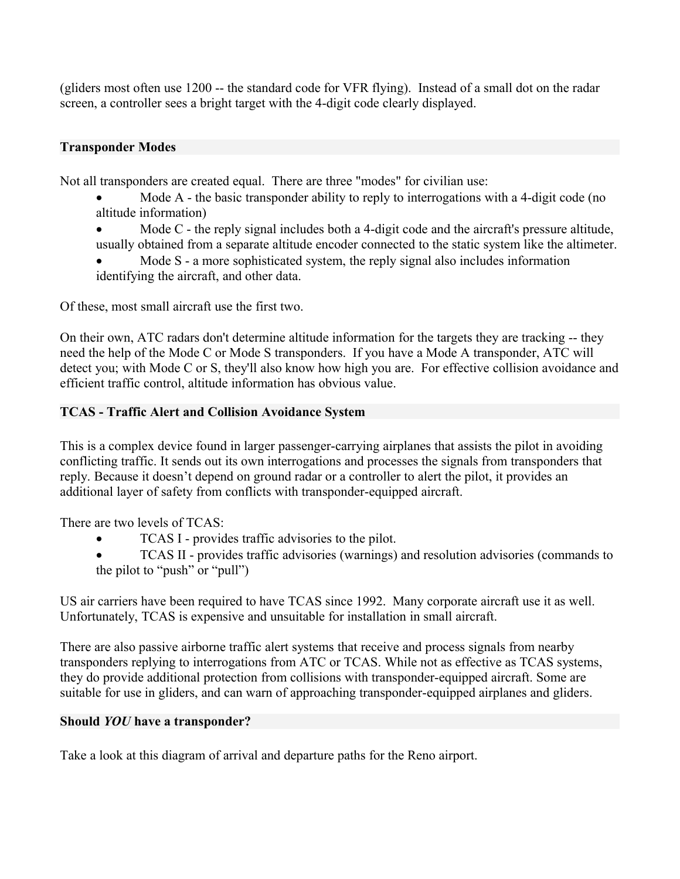(gliders most often use 1200 -- the standard code for VFR flying). Instead of a small dot on the radar screen, a controller sees a bright target with the 4-digit code clearly displayed.

### <span id="page-3-2"></span>**Transponder Modes**

Not all transponders are created equal. There are three "modes" for civilian use:

- Mode A the basic transponder ability to reply to interrogations with a 4-digit code (no altitude information)
- Mode C the reply signal includes both a 4-digit code and the aircraft's pressure altitude, usually obtained from a separate altitude encoder connected to the static system like the altimeter.
- Mode S a more sophisticated system, the reply signal also includes information identifying the aircraft, and other data.

Of these, most small aircraft use the first two.

On their own, ATC radars don't determine altitude information for the targets they are tracking -- they need the help of the Mode C or Mode S transponders. If you have a Mode A transponder, ATC will detect you; with Mode C or S, they'll also know how high you are. For effective collision avoidance and efficient traffic control, altitude information has obvious value.

#### <span id="page-3-1"></span>**TCAS - Traffic Alert and Collision Avoidance System**

This is a complex device found in larger passenger-carrying airplanes that assists the pilot in avoiding conflicting traffic. It sends out its own interrogations and processes the signals from transponders that reply. Because it doesn't depend on ground radar or a controller to alert the pilot, it provides an additional layer of safety from conflicts with transponder-equipped aircraft.

There are two levels of TCAS:

- TCAS I provides traffic advisories to the pilot.
- TCAS II provides traffic advisories (warnings) and resolution advisories (commands to the pilot to "push" or "pull")

US air carriers have been required to have TCAS since 1992. Many corporate aircraft use it as well. Unfortunately, TCAS is expensive and unsuitable for installation in small aircraft.

There are also passive airborne traffic alert systems that receive and process signals from nearby transponders replying to interrogations from ATC or TCAS. While not as effective as TCAS systems, they do provide additional protection from collisions with transponder-equipped aircraft. Some are suitable for use in gliders, and can warn of approaching transponder-equipped airplanes and gliders.

#### <span id="page-3-0"></span>**Should** *YOU* **have a transponder?**

Take a look at this diagram of arrival and departure paths for the Reno airport.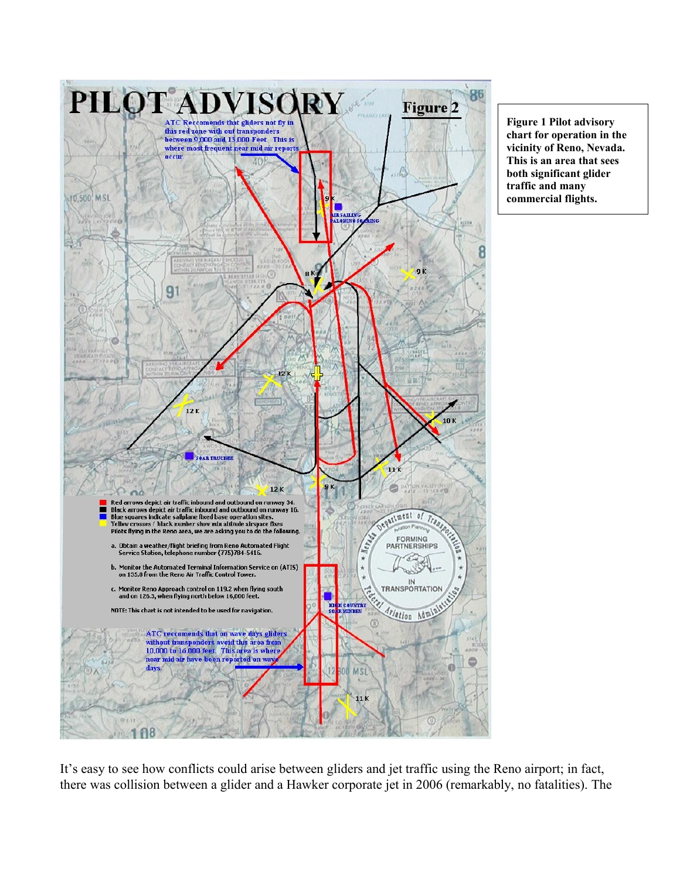

**Figure 1 Pilot advisory chart for operation in the vicinity of Reno, Nevada. This is an area that sees both significant glider traffic and many commercial flights.**

It's easy to see how conflicts could arise between gliders and jet traffic using the Reno airport; in fact, there was collision between a glider and a Hawker corporate jet in 2006 (remarkably, no fatalities). The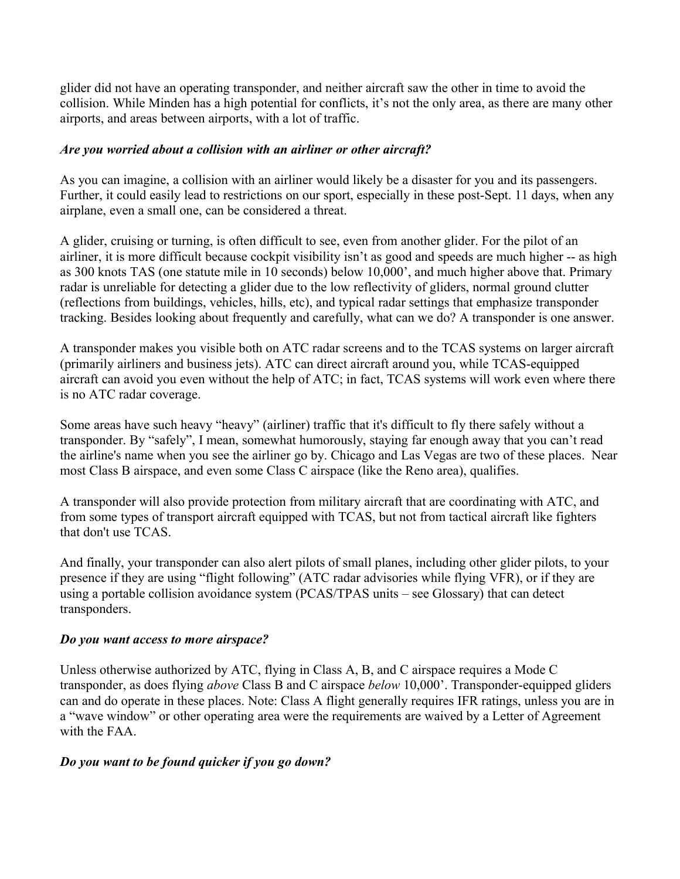glider did not have an operating transponder, and neither aircraft saw the other in time to avoid the collision. While Minden has a high potential for conflicts, it's not the only area, as there are many other airports, and areas between airports, with a lot of traffic.

### *Are you worried about a collision with an airliner or other aircraft?*

As you can imagine, a collision with an airliner would likely be a disaster for you and its passengers. Further, it could easily lead to restrictions on our sport, especially in these post-Sept. 11 days, when any airplane, even a small one, can be considered a threat.

A glider, cruising or turning, is often difficult to see, even from another glider. For the pilot of an airliner, it is more difficult because cockpit visibility isn't as good and speeds are much higher -- as high as 300 knots TAS (one statute mile in 10 seconds) below 10,000', and much higher above that. Primary radar is unreliable for detecting a glider due to the low reflectivity of gliders, normal ground clutter (reflections from buildings, vehicles, hills, etc), and typical radar settings that emphasize transponder tracking. Besides looking about frequently and carefully, what can we do? A transponder is one answer.

A transponder makes you visible both on ATC radar screens and to the TCAS systems on larger aircraft (primarily airliners and business jets). ATC can direct aircraft around you, while TCAS-equipped aircraft can avoid you even without the help of ATC; in fact, TCAS systems will work even where there is no ATC radar coverage.

Some areas have such heavy "heavy" (airliner) traffic that it's difficult to fly there safely without a transponder. By "safely", I mean, somewhat humorously, staying far enough away that you can't read the airline's name when you see the airliner go by. Chicago and Las Vegas are two of these places. Near most Class B airspace, and even some Class C airspace (like the Reno area), qualifies.

A transponder will also provide protection from military aircraft that are coordinating with ATC, and from some types of transport aircraft equipped with TCAS, but not from tactical aircraft like fighters that don't use TCAS.

And finally, your transponder can also alert pilots of small planes, including other glider pilots, to your presence if they are using "flight following" (ATC radar advisories while flying VFR), or if they are using a portable collision avoidance system (PCAS/TPAS units – see Glossary) that can detect transponders.

#### *Do you want access to more airspace?*

Unless otherwise authorized by ATC, flying in Class A, B, and C airspace requires a Mode C transponder, as does flying *above* Class B and C airspace *below* 10,000'. Transponder-equipped gliders can and do operate in these places. Note: Class A flight generally requires IFR ratings, unless you are in a "wave window" or other operating area were the requirements are waived by a Letter of Agreement with the FAA.

### *Do you want to be found quicker if you go down?*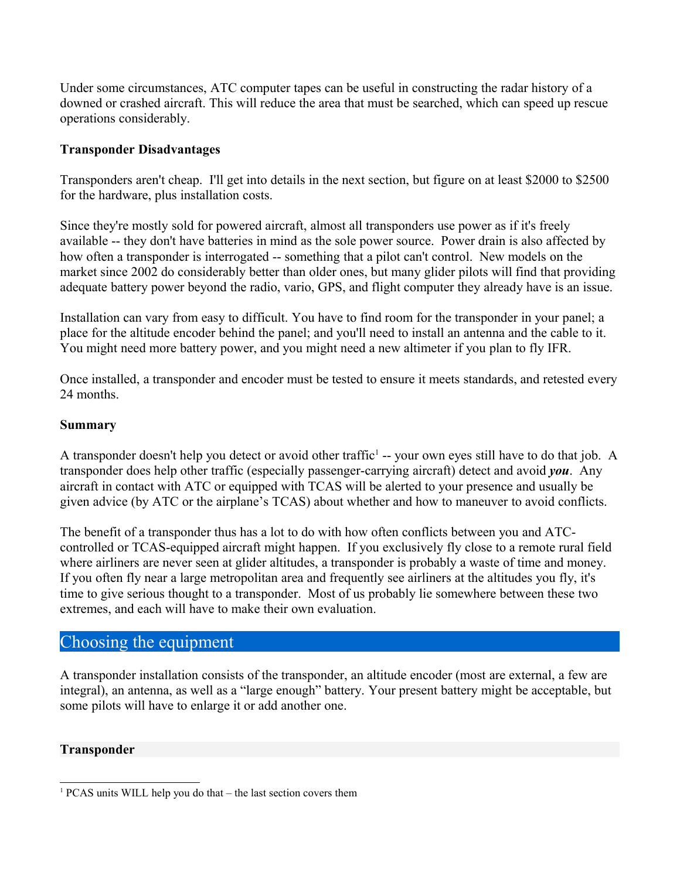Under some circumstances, ATC computer tapes can be useful in constructing the radar history of a downed or crashed aircraft. This will reduce the area that must be searched, which can speed up rescue operations considerably.

### **Transponder Disadvantages**

Transponders aren't cheap. I'll get into details in the next section, but figure on at least \$2000 to \$2500 for the hardware, plus installation costs.

Since they're mostly sold for powered aircraft, almost all transponders use power as if it's freely available -- they don't have batteries in mind as the sole power source. Power drain is also affected by how often a transponder is interrogated -- something that a pilot can't control. New models on the market since 2002 do considerably better than older ones, but many glider pilots will find that providing adequate battery power beyond the radio, vario, GPS, and flight computer they already have is an issue.

Installation can vary from easy to difficult. You have to find room for the transponder in your panel; a place for the altitude encoder behind the panel; and you'll need to install an antenna and the cable to it. You might need more battery power, and you might need a new altimeter if you plan to fly IFR.

Once installed, a transponder and encoder must be tested to ensure it meets standards, and retested every 24 months.

#### **Summary**

A transponder doesn't help you detect or avoid other traffic<sup>[1](#page-6-2)</sup> -- your own eyes still have to do that job. A transponder does help other traffic (especially passenger-carrying aircraft) detect and avoid *you*. Any aircraft in contact with ATC or equipped with TCAS will be alerted to your presence and usually be given advice (by ATC or the airplane's TCAS) about whether and how to maneuver to avoid conflicts.

The benefit of a transponder thus has a lot to do with how often conflicts between you and ATCcontrolled or TCAS-equipped aircraft might happen. If you exclusively fly close to a remote rural field where airliners are never seen at glider altitudes, a transponder is probably a waste of time and money. If you often fly near a large metropolitan area and frequently see airliners at the altitudes you fly, it's time to give serious thought to a transponder. Most of us probably lie somewhere between these two extremes, and each will have to make their own evaluation.

### <span id="page-6-1"></span>Choosing the equipment

A transponder installation consists of the transponder, an altitude encoder (most are external, a few are integral), an antenna, as well as a "large enough" battery. Your present battery might be acceptable, but some pilots will have to enlarge it or add another one.

### <span id="page-6-0"></span>**Transponder**

<span id="page-6-2"></span><sup>1</sup> PCAS units WILL help you do that – the last section covers them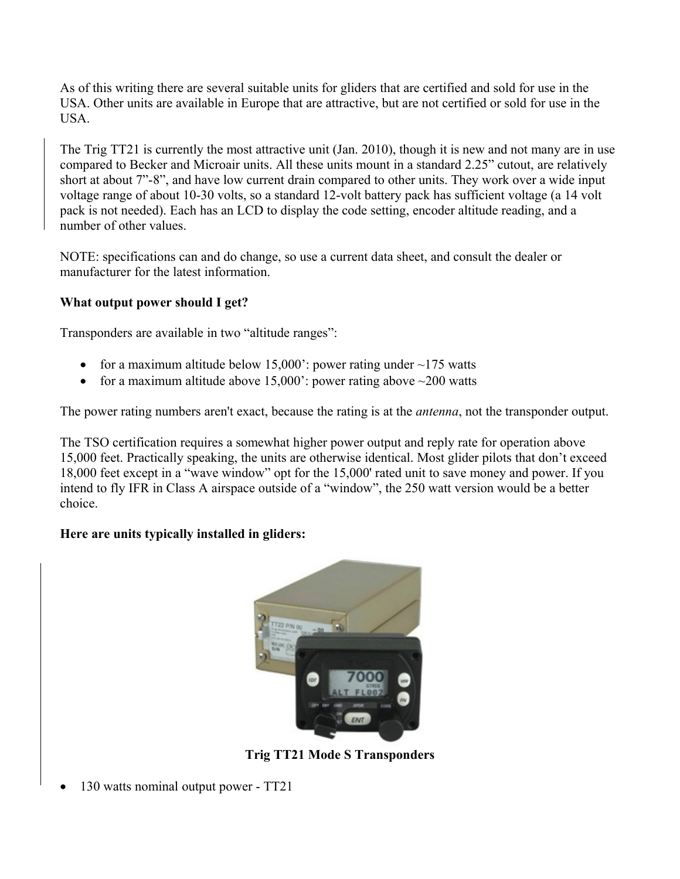As of this writing there are several suitable units for gliders that are certified and sold for use in the USA. Other units are available in Europe that are attractive, but are not certified or sold for use in the USA.

The Trig TT21 is currently the most attractive unit (Jan. 2010), though it is new and not many are in use compared to Becker and Microair units. All these units mount in a standard 2.25" cutout, are relatively short at about 7"-8", and have low current drain compared to other units. They work over a wide input voltage range of about 10-30 volts, so a standard 12-volt battery pack has sufficient voltage (a 14 volt pack is not needed). Each has an LCD to display the code setting, encoder altitude reading, and a number of other values.

NOTE: specifications can and do change, so use a current data sheet, and consult the dealer or manufacturer for the latest information.

### **What output power should I get?**

Transponders are available in two "altitude ranges":

- for a maximum altitude below  $15,000$ : power rating under  $\sim$ 175 watts
- for a maximum altitude above  $15,000$ : power rating above  $\sim$ 200 watts

The power rating numbers aren't exact, because the rating is at the *antenna*, not the transponder output.

The TSO certification requires a somewhat higher power output and reply rate for operation above 15,000 feet. Practically speaking, the units are otherwise identical. Most glider pilots that don't exceed 18,000 feet except in a "wave window" opt for the 15,000' rated unit to save money and power. If you intend to fly IFR in Class A airspace outside of a "window", the 250 watt version would be a better choice.

### **Here are units typically installed in gliders:**



**Trig TT21 Mode S Transponders**

130 watts nominal output power - TT21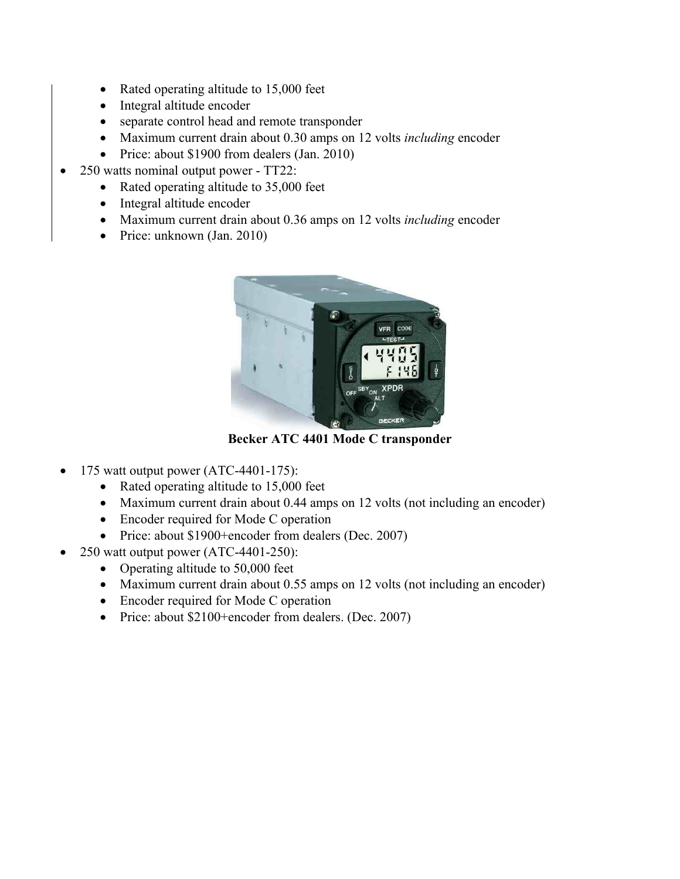- Rated operating altitude to 15,000 feet
- Integral altitude encoder
- separate control head and remote transponder
- Maximum current drain about 0.30 amps on 12 volts *including* encoder
- Price: about \$1900 from dealers (Jan. 2010)
- 250 watts nominal output power TT22:
	- Rated operating altitude to 35,000 feet
	- Integral altitude encoder
	- Maximum current drain about 0.36 amps on 12 volts *including* encoder
	- Price: unknown (Jan. 2010)



**Becker ATC 4401 Mode C transponder**

- 175 watt output power (ATC-4401-175):
	- Rated operating altitude to 15,000 feet
	- Maximum current drain about 0.44 amps on 12 volts (not including an encoder)
	- Encoder required for Mode C operation
	- Price: about \$1900+encoder from dealers (Dec. 2007)
- 250 watt output power (ATC-4401-250):
	- Operating altitude to 50,000 feet
	- Maximum current drain about 0.55 amps on 12 volts (not including an encoder)
	- Encoder required for Mode C operation
	- Price: about \$2100+encoder from dealers. (Dec. 2007)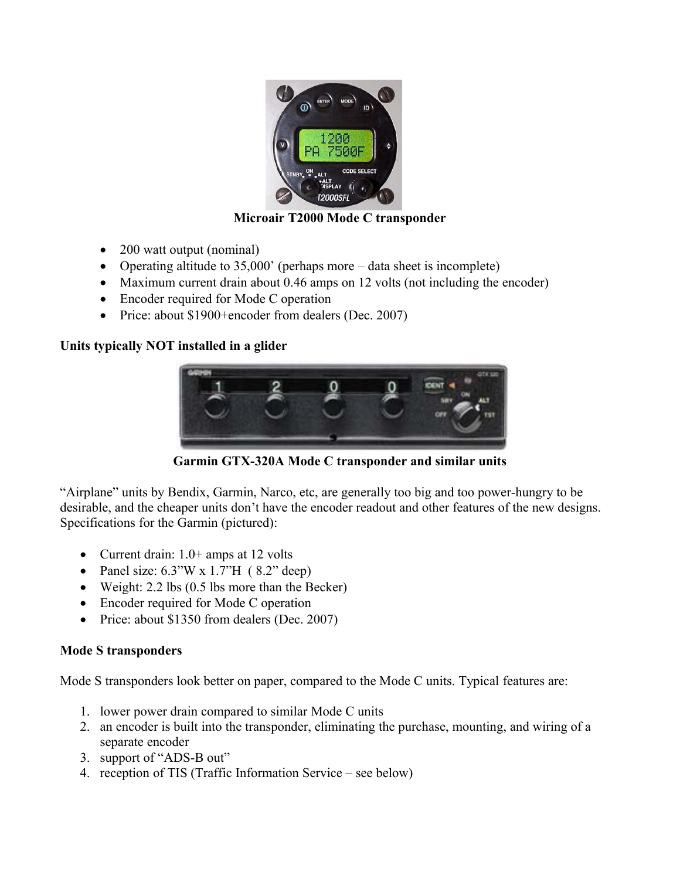

### **Microair T2000 Mode C transponder**

- 200 watt output (nominal)
- Operating altitude to 35,000' (perhaps more data sheet is incomplete)
- Maximum current drain about 0.46 amps on 12 volts (not including the encoder)
- Encoder required for Mode C operation
- Price: about \$1900+encoder from dealers (Dec. 2007)

### **Units typically NOT installed in a glider**



**Garmin GTX-320A Mode C transponder and similar units**

"Airplane" units by Bendix, Garmin, Narco, etc, are generally too big and too power-hungry to be desirable, and the cheaper units don't have the encoder readout and other features of the new designs. Specifications for the Garmin (pictured):

- Current drain:  $1.0+$  amps at 12 volts
- Panel size:  $6.3$ "W x  $1.7$ "H ( $8.2$ " deep)
- Weight: 2.2 lbs (0.5 lbs more than the Becker)
- Encoder required for Mode C operation
- Price: about \$1350 from dealers (Dec. 2007)

### **Mode S transponders**

Mode S transponders look better on paper, compared to the Mode C units. Typical features are:

- 1. lower power drain compared to similar Mode C units
- 2. an encoder is built into the transponder, eliminating the purchase, mounting, and wiring of a separate encoder
- 3. support of "ADS-B out"
- 4. reception of TIS (Traffic Information Service see below)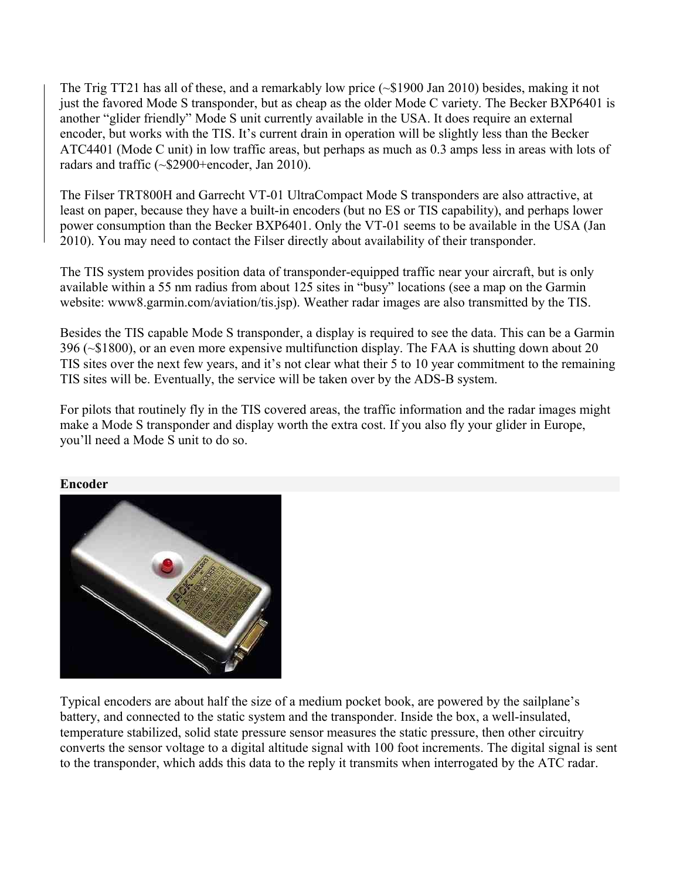The Trig TT21 has all of these, and a remarkably low price  $(\sim 1900 \text{ Jan } 2010)$  besides, making it not just the favored Mode S transponder, but as cheap as the older Mode C variety. The Becker BXP6401 is another "glider friendly" Mode S unit currently available in the USA. It does require an external encoder, but works with the TIS. It's current drain in operation will be slightly less than the Becker ATC4401 (Mode C unit) in low traffic areas, but perhaps as much as 0.3 amps less in areas with lots of radars and traffic (~\$2900+encoder, Jan 2010).

The Filser TRT800H and Garrecht VT-01 UltraCompact Mode S transponders are also attractive, at least on paper, because they have a built-in encoders (but no ES or TIS capability), and perhaps lower power consumption than the Becker BXP6401. Only the VT-01 seems to be available in the USA (Jan 2010). You may need to contact the Filser directly about availability of their transponder.

The TIS system provides position data of transponder-equipped traffic near your aircraft, but is only available within a 55 nm radius from about 125 sites in "busy" locations (see a map on the Garmin website: www8.garmin.com/aviation/tis.jsp). Weather radar images are also transmitted by the TIS.

Besides the TIS capable Mode S transponder, a display is required to see the data. This can be a Garmin 396 (~\$1800), or an even more expensive multifunction display. The FAA is shutting down about 20 TIS sites over the next few years, and it's not clear what their 5 to 10 year commitment to the remaining TIS sites will be. Eventually, the service will be taken over by the ADS-B system.

For pilots that routinely fly in the TIS covered areas, the traffic information and the radar images might make a Mode S transponder and display worth the extra cost. If you also fly your glider in Europe, you'll need a Mode S unit to do so.



### <span id="page-10-0"></span>**Encoder**

Typical encoders are about half the size of a medium pocket book, are powered by the sailplane's battery, and connected to the static system and the transponder. Inside the box, a well-insulated, temperature stabilized, solid state pressure sensor measures the static pressure, then other circuitry converts the sensor voltage to a digital altitude signal with 100 foot increments. The digital signal is sent to the transponder, which adds this data to the reply it transmits when interrogated by the ATC radar.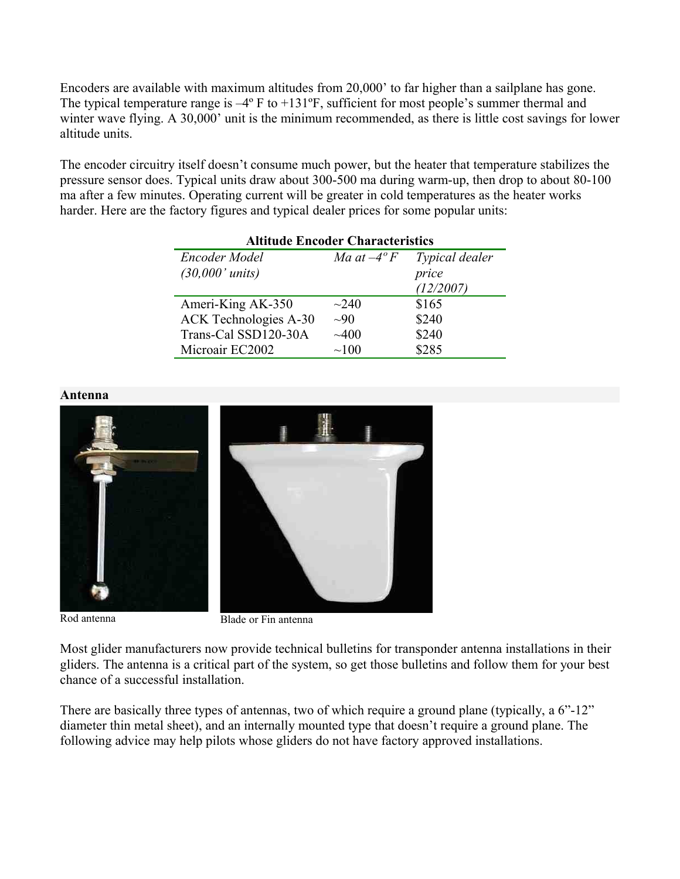Encoders are available with maximum altitudes from 20,000' to far higher than a sailplane has gone. The typical temperature range is  $-4^{\circ}$  F to  $+131^{\circ}$ F, sufficient for most people's summer thermal and winter wave flying. A 30,000' unit is the minimum recommended, as there is little cost savings for lower altitude units.

The encoder circuitry itself doesn't consume much power, but the heater that temperature stabilizes the pressure sensor does. Typical units draw about 300-500 ma during warm-up, then drop to about 80-100 ma after a few minutes. Operating current will be greater in cold temperatures as the heater works harder. Here are the factory figures and typical dealer prices for some popular units:

| <b>Altitude Encoder Characteristics</b> |                     |                |  |  |  |  |
|-----------------------------------------|---------------------|----------------|--|--|--|--|
| Encoder Model                           | Ma at $-4^{\circ}F$ | Typical dealer |  |  |  |  |
| $(30,000'$ units)                       |                     | price          |  |  |  |  |
|                                         |                     | (12/2007)      |  |  |  |  |
| Ameri-King AK-350                       | $\sim$ 240          | \$165          |  |  |  |  |
| <b>ACK Technologies A-30</b>            | $\sim 90$           | \$240          |  |  |  |  |
| Trans-Cal SSD120-30A                    | $\sim 400$          | \$240          |  |  |  |  |
| Microair EC2002                         | $\sim 100$          | \$285          |  |  |  |  |



Rod antenna Blade or Fin antenna

Most glider manufacturers now provide technical bulletins for transponder antenna installations in their gliders. The antenna is a critical part of the system, so get those bulletins and follow them for your best chance of a successful installation.

There are basically three types of antennas, two of which require a ground plane (typically, a 6"-12" diameter thin metal sheet), and an internally mounted type that doesn't require a ground plane. The following advice may help pilots whose gliders do not have factory approved installations.

#### <span id="page-11-0"></span>**Antenna**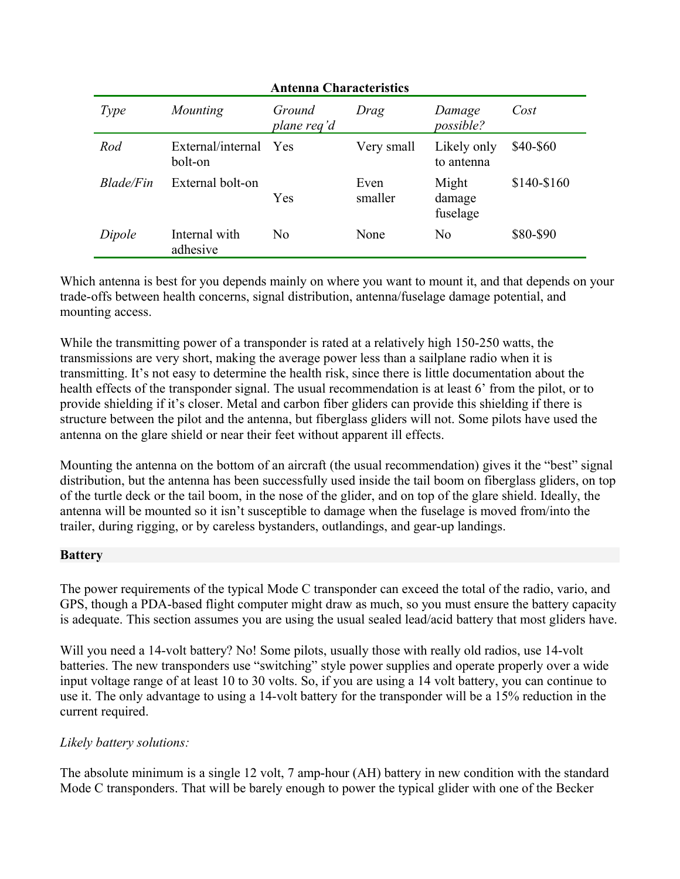| <b>Antenna Characteristics</b> |                              |                       |                 |                             |             |  |  |  |
|--------------------------------|------------------------------|-----------------------|-----------------|-----------------------------|-------------|--|--|--|
| Type                           | Mounting                     | Ground<br>plane req'd | Drag            | Damage<br><i>possible?</i>  | Cost        |  |  |  |
| Rod                            | External/internal<br>bolt-on | Yes                   | Very small      | Likely only<br>to antenna   | \$40-\$60   |  |  |  |
| Blade/Fin                      | External bolt-on             | Yes                   | Even<br>smaller | Might<br>damage<br>fuselage | \$140-\$160 |  |  |  |
| Dipole                         | Internal with<br>adhesive    | N <sub>0</sub>        | None            | No                          | \$80-\$90   |  |  |  |

Which antenna is best for you depends mainly on where you want to mount it, and that depends on your trade-offs between health concerns, signal distribution, antenna/fuselage damage potential, and mounting access.

While the transmitting power of a transponder is rated at a relatively high 150-250 watts, the transmissions are very short, making the average power less than a sailplane radio when it is transmitting. It's not easy to determine the health risk, since there is little documentation about the health effects of the transponder signal. The usual recommendation is at least 6' from the pilot, or to provide shielding if it's closer. Metal and carbon fiber gliders can provide this shielding if there is structure between the pilot and the antenna, but fiberglass gliders will not. Some pilots have used the antenna on the glare shield or near their feet without apparent ill effects.

Mounting the antenna on the bottom of an aircraft (the usual recommendation) gives it the "best" signal distribution, but the antenna has been successfully used inside the tail boom on fiberglass gliders, on top of the turtle deck or the tail boom, in the nose of the glider, and on top of the glare shield. Ideally, the antenna will be mounted so it isn't susceptible to damage when the fuselage is moved from/into the trailer, during rigging, or by careless bystanders, outlandings, and gear-up landings.

### <span id="page-12-0"></span>**Battery**

The power requirements of the typical Mode C transponder can exceed the total of the radio, vario, and GPS, though a PDA-based flight computer might draw as much, so you must ensure the battery capacity is adequate. This section assumes you are using the usual sealed lead/acid battery that most gliders have.

Will you need a 14-volt battery? No! Some pilots, usually those with really old radios, use 14-volt batteries. The new transponders use "switching" style power supplies and operate properly over a wide input voltage range of at least 10 to 30 volts. So, if you are using a 14 volt battery, you can continue to use it. The only advantage to using a 14-volt battery for the transponder will be a 15% reduction in the current required.

### *Likely battery solutions:*

The absolute minimum is a single 12 volt, 7 amp-hour (AH) battery in new condition with the standard Mode C transponders. That will be barely enough to power the typical glider with one of the Becker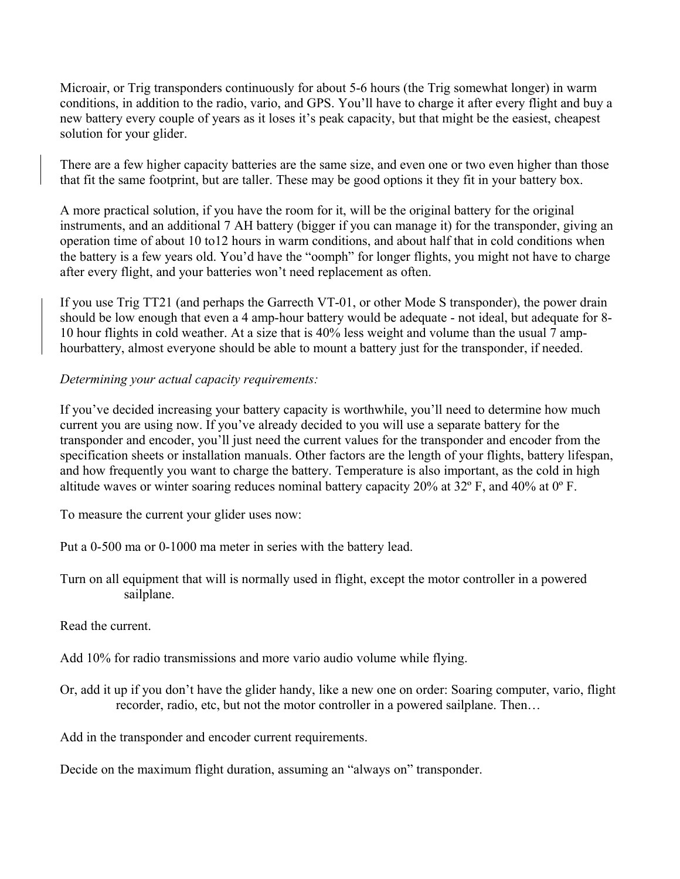Microair, or Trig transponders continuously for about 5-6 hours (the Trig somewhat longer) in warm conditions, in addition to the radio, vario, and GPS. You'll have to charge it after every flight and buy a new battery every couple of years as it loses it's peak capacity, but that might be the easiest, cheapest solution for your glider.

There are a few higher capacity batteries are the same size, and even one or two even higher than those that fit the same footprint, but are taller. These may be good options it they fit in your battery box.

A more practical solution, if you have the room for it, will be the original battery for the original instruments, and an additional 7 AH battery (bigger if you can manage it) for the transponder, giving an operation time of about 10 to12 hours in warm conditions, and about half that in cold conditions when the battery is a few years old. You'd have the "oomph" for longer flights, you might not have to charge after every flight, and your batteries won't need replacement as often.

If you use Trig TT21 (and perhaps the Garrecth VT-01, or other Mode S transponder), the power drain should be low enough that even a 4 amp-hour battery would be adequate - not ideal, but adequate for 8- 10 hour flights in cold weather. At a size that is 40% less weight and volume than the usual 7 amphourbattery, almost everyone should be able to mount a battery just for the transponder, if needed.

### *Determining your actual capacity requirements:*

If you've decided increasing your battery capacity is worthwhile, you'll need to determine how much current you are using now. If you've already decided to you will use a separate battery for the transponder and encoder, you'll just need the current values for the transponder and encoder from the specification sheets or installation manuals. Other factors are the length of your flights, battery lifespan, and how frequently you want to charge the battery. Temperature is also important, as the cold in high altitude waves or winter soaring reduces nominal battery capacity 20% at 32º F, and 40% at 0º F.

To measure the current your glider uses now:

Put a 0-500 ma or 0-1000 ma meter in series with the battery lead.

Turn on all equipment that will is normally used in flight, except the motor controller in a powered sailplane.

Read the current.

Add 10% for radio transmissions and more vario audio volume while flying.

Or, add it up if you don't have the glider handy, like a new one on order: Soaring computer, vario, flight recorder, radio, etc, but not the motor controller in a powered sailplane. Then…

Add in the transponder and encoder current requirements.

Decide on the maximum flight duration, assuming an "always on" transponder.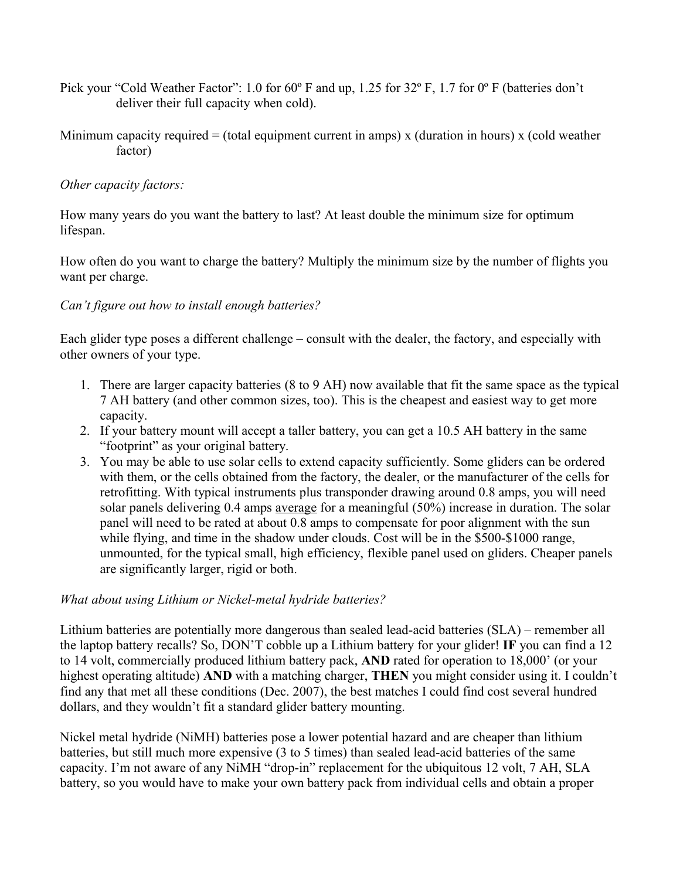- Pick your "Cold Weather Factor": 1.0 for 60° F and up, 1.25 for 32° F, 1.7 for 0° F (batteries don't deliver their full capacity when cold).
- Minimum capacity required  $=$  (total equipment current in amps) x (duration in hours) x (cold weather factor)

### *Other capacity factors:*

How many years do you want the battery to last? At least double the minimum size for optimum lifespan.

How often do you want to charge the battery? Multiply the minimum size by the number of flights you want per charge.

### *Can't figure out how to install enough batteries?*

Each glider type poses a different challenge – consult with the dealer, the factory, and especially with other owners of your type.

- 1. There are larger capacity batteries (8 to 9 AH) now available that fit the same space as the typical 7 AH battery (and other common sizes, too). This is the cheapest and easiest way to get more capacity.
- 2. If your battery mount will accept a taller battery, you can get a 10.5 AH battery in the same "footprint" as your original battery.
- 3. You may be able to use solar cells to extend capacity sufficiently. Some gliders can be ordered with them, or the cells obtained from the factory, the dealer, or the manufacturer of the cells for retrofitting. With typical instruments plus transponder drawing around 0.8 amps, you will need solar panels delivering 0.4 amps average for a meaningful (50%) increase in duration. The solar panel will need to be rated at about 0.8 amps to compensate for poor alignment with the sun while flying, and time in the shadow under clouds. Cost will be in the \$500-\$1000 range, unmounted, for the typical small, high efficiency, flexible panel used on gliders. Cheaper panels are significantly larger, rigid or both.

### *What about using Lithium or Nickel-metal hydride batteries?*

Lithium batteries are potentially more dangerous than sealed lead-acid batteries (SLA) – remember all the laptop battery recalls? So, DON'T cobble up a Lithium battery for your glider! **IF** you can find a 12 to 14 volt, commercially produced lithium battery pack, **AND** rated for operation to 18,000' (or your highest operating altitude) **AND** with a matching charger, **THEN** you might consider using it. I couldn't find any that met all these conditions (Dec. 2007), the best matches I could find cost several hundred dollars, and they wouldn't fit a standard glider battery mounting.

Nickel metal hydride (NiMH) batteries pose a lower potential hazard and are cheaper than lithium batteries, but still much more expensive (3 to 5 times) than sealed lead-acid batteries of the same capacity. I'm not aware of any NiMH "drop-in" replacement for the ubiquitous 12 volt, 7 AH, SLA battery, so you would have to make your own battery pack from individual cells and obtain a proper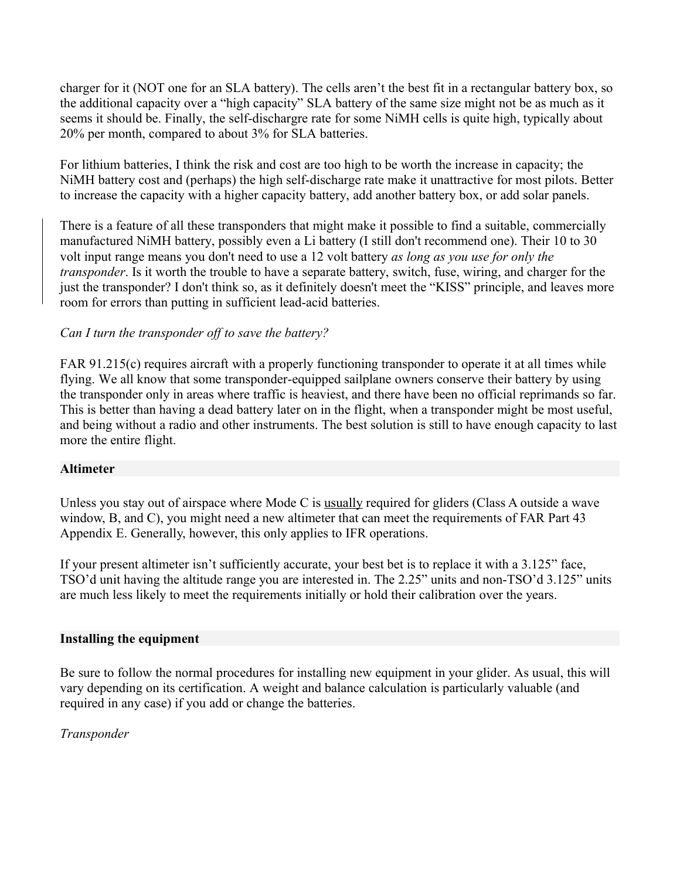charger for it (NOT one for an SLA battery). The cells aren't the best fit in a rectangular battery box, so the additional capacity over a "high capacity" SLA battery of the same size might not be as much as it seems it should be. Finally, the self-dischargre rate for some NiMH cells is quite high, typically about 20% per month, compared to about 3% for SLA batteries.

For lithium batteries, I think the risk and cost are too high to be worth the increase in capacity; the NiMH battery cost and (perhaps) the high self-discharge rate make it unattractive for most pilots. Better to increase the capacity with a higher capacity battery, add another battery box, or add solar panels.

There is a feature of all these transponders that might make it possible to find a suitable, commercially manufactured NiMH battery, possibly even a Li battery (I still don't recommend one). Their 10 to 30 volt input range means you don't need to use a 12 volt battery *as long as you use for only the transponder*. Is it worth the trouble to have a separate battery, switch, fuse, wiring, and charger for the just the transponder? I don't think so, as it definitely doesn't meet the "KISS" principle, and leaves more room for errors than putting in sufficient lead-acid batteries.

### *Can I turn the transponder off to save the battery?*

FAR 91.215(c) requires aircraft with a properly functioning transponder to operate it at all times while flying. We all know that some transponder-equipped sailplane owners conserve their battery by using the transponder only in areas where traffic is heaviest, and there have been no official reprimands so far. This is better than having a dead battery later on in the flight, when a transponder might be most useful, and being without a radio and other instruments. The best solution is still to have enough capacity to last more the entire flight.

### <span id="page-15-1"></span>**Altimeter**

Unless you stay out of airspace where Mode C is usually required for gliders (Class A outside a wave window, B, and C), you might need a new altimeter that can meet the requirements of FAR Part 43 Appendix E. Generally, however, this only applies to IFR operations.

If your present altimeter isn't sufficiently accurate, your best bet is to replace it with a 3.125" face, TSO'd unit having the altitude range you are interested in. The 2.25" units and non-TSO'd 3.125" units are much less likely to meet the requirements initially or hold their calibration over the years.

#### <span id="page-15-0"></span>**Installing the equipment**

Be sure to follow the normal procedures for installing new equipment in your glider. As usual, this will vary depending on its certification. A weight and balance calculation is particularly valuable (and required in any case) if you add or change the batteries.

### *Transponder*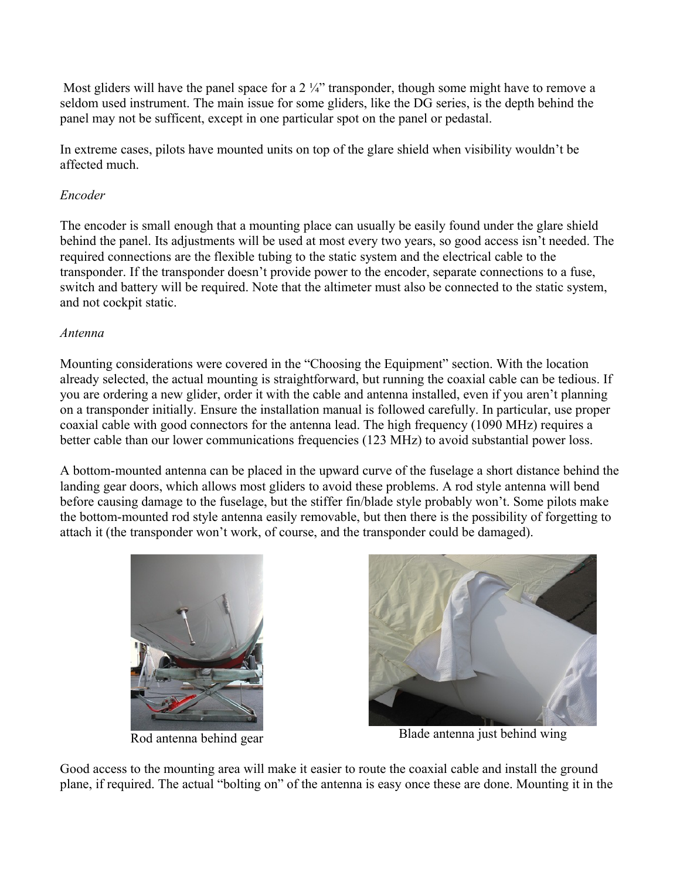Most gliders will have the panel space for a  $2\frac{1}{4}$ " transponder, though some might have to remove a seldom used instrument. The main issue for some gliders, like the DG series, is the depth behind the panel may not be sufficent, except in one particular spot on the panel or pedastal.

In extreme cases, pilots have mounted units on top of the glare shield when visibility wouldn't be affected much.

### *Encoder*

The encoder is small enough that a mounting place can usually be easily found under the glare shield behind the panel. Its adjustments will be used at most every two years, so good access isn't needed. The required connections are the flexible tubing to the static system and the electrical cable to the transponder. If the transponder doesn't provide power to the encoder, separate connections to a fuse, switch and battery will be required. Note that the altimeter must also be connected to the static system, and not cockpit static.

### *Antenna*

Mounting considerations were covered in the "Choosing the Equipment" section. With the location already selected, the actual mounting is straightforward, but running the coaxial cable can be tedious. If you are ordering a new glider, order it with the cable and antenna installed, even if you aren't planning on a transponder initially. Ensure the installation manual is followed carefully. In particular, use proper coaxial cable with good connectors for the antenna lead. The high frequency (1090 MHz) requires a better cable than our lower communications frequencies (123 MHz) to avoid substantial power loss.

A bottom-mounted antenna can be placed in the upward curve of the fuselage a short distance behind the landing gear doors, which allows most gliders to avoid these problems. A rod style antenna will bend before causing damage to the fuselage, but the stiffer fin/blade style probably won't. Some pilots make the bottom-mounted rod style antenna easily removable, but then there is the possibility of forgetting to attach it (the transponder won't work, of course, and the transponder could be damaged).





Rod antenna behind gear Blade antenna just behind wing

Good access to the mounting area will make it easier to route the coaxial cable and install the ground plane, if required. The actual "bolting on" of the antenna is easy once these are done. Mounting it in the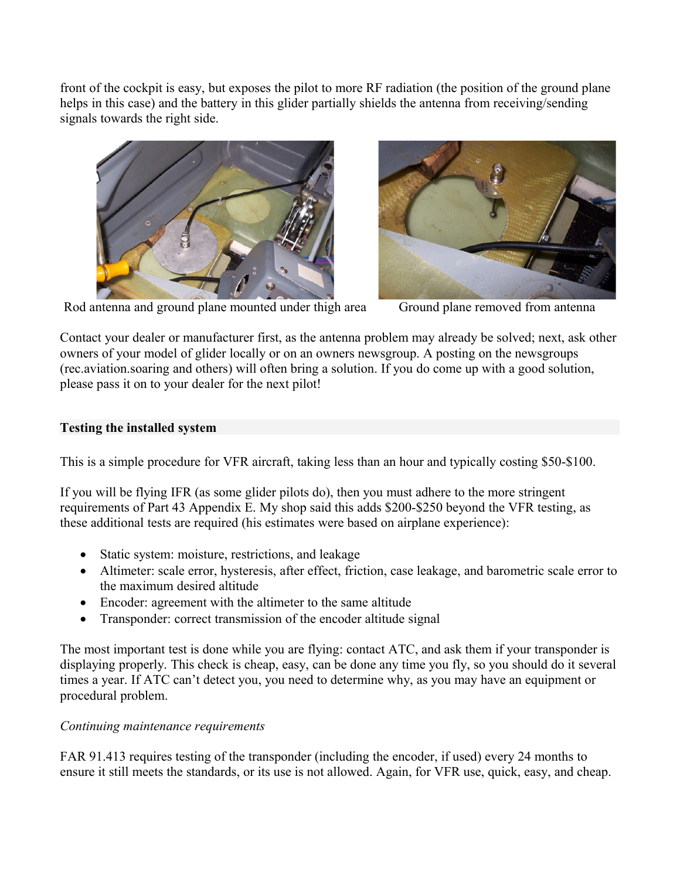front of the cockpit is easy, but exposes the pilot to more RF radiation (the position of the ground plane helps in this case) and the battery in this glider partially shields the antenna from receiving/sending signals towards the right side.





Rod antenna and ground plane mounted under thigh area Ground plane removed from antenna

Contact your dealer or manufacturer first, as the antenna problem may already be solved; next, ask other owners of your model of glider locally or on an owners newsgroup. A posting on the newsgroups (rec.aviation.soaring and others) will often bring a solution. If you do come up with a good solution, please pass it on to your dealer for the next pilot!

### <span id="page-17-0"></span>**Testing the installed system**

This is a simple procedure for VFR aircraft, taking less than an hour and typically costing \$50-\$100.

If you will be flying IFR (as some glider pilots do), then you must adhere to the more stringent requirements of Part 43 Appendix E. My shop said this adds \$200-\$250 beyond the VFR testing, as these additional tests are required (his estimates were based on airplane experience):

- Static system: moisture, restrictions, and leakage
- Altimeter: scale error, hysteresis, after effect, friction, case leakage, and barometric scale error to the maximum desired altitude
- Encoder: agreement with the altimeter to the same altitude
- Transponder: correct transmission of the encoder altitude signal

The most important test is done while you are flying: contact ATC, and ask them if your transponder is displaying properly. This check is cheap, easy, can be done any time you fly, so you should do it several times a year. If ATC can't detect you, you need to determine why, as you may have an equipment or procedural problem.

### *Continuing maintenance requirements*

FAR 91.413 requires testing of the transponder (including the encoder, if used) every 24 months to ensure it still meets the standards, or its use is not allowed. Again, for VFR use, quick, easy, and cheap.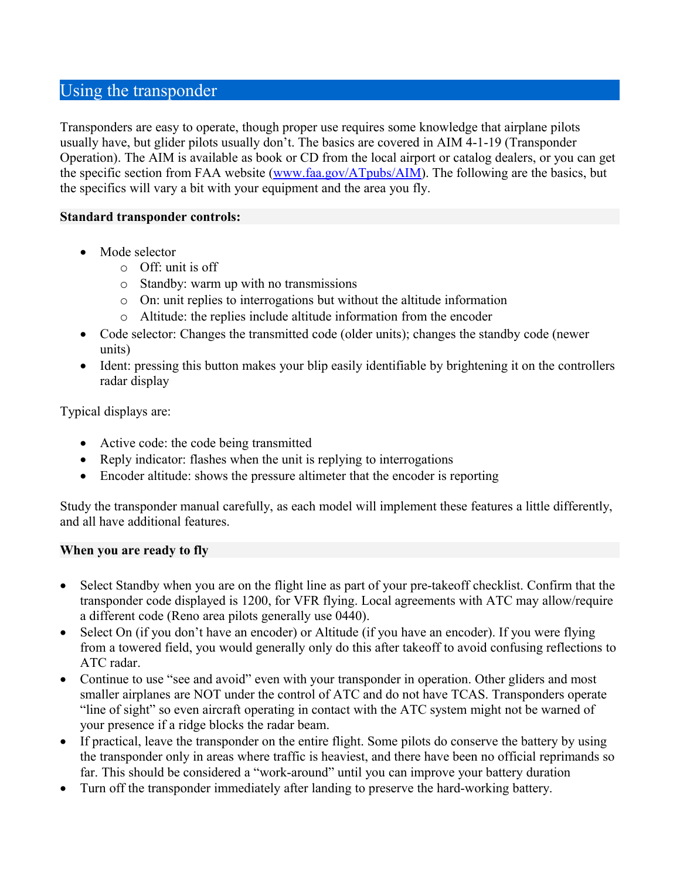# <span id="page-18-1"></span>Using the transponder

Transponders are easy to operate, though proper use requires some knowledge that airplane pilots usually have, but glider pilots usually don't. The basics are covered in AIM 4-1-19 (Transponder Operation). The AIM is available as book or CD from the local airport or catalog dealers, or you can get the specific section from FAA website [\(www.faa.gov/ATpubs/AIM\)](http://www.faa.gov/ATpubs/AIM). The following are the basics, but the specifics will vary a bit with your equipment and the area you fly.

### <span id="page-18-0"></span>**Standard transponder controls:**

- Mode selector
	- $\circ$  Off: unit is off
	- o Standby: warm up with no transmissions
	- o On: unit replies to interrogations but without the altitude information
	- o Altitude: the replies include altitude information from the encoder
- Code selector: Changes the transmitted code (older units); changes the standby code (newer units)
- Ident: pressing this button makes your blip easily identifiable by brightening it on the controllers radar display

Typical displays are:

- Active code: the code being transmitted
- Reply indicator: flashes when the unit is replying to interrogations
- Encoder altitude: shows the pressure altimeter that the encoder is reporting

Study the transponder manual carefully, as each model will implement these features a little differently, and all have additional features.

### <span id="page-18-2"></span>**When you are ready to fly**

- Select Standby when you are on the flight line as part of your pre-takeoff checklist. Confirm that the transponder code displayed is 1200, for VFR flying. Local agreements with ATC may allow/require a different code (Reno area pilots generally use 0440).
- Select On (if you don't have an encoder) or Altitude (if you have an encoder). If you were flying from a towered field, you would generally only do this after takeoff to avoid confusing reflections to ATC radar.
- Continue to use "see and avoid" even with your transponder in operation. Other gliders and most smaller airplanes are NOT under the control of ATC and do not have TCAS. Transponders operate "line of sight" so even aircraft operating in contact with the ATC system might not be warned of your presence if a ridge blocks the radar beam.
- If practical, leave the transponder on the entire flight. Some pilots do conserve the battery by using the transponder only in areas where traffic is heaviest, and there have been no official reprimands so far. This should be considered a "work-around" until you can improve your battery duration
- Turn off the transponder immediately after landing to preserve the hard-working battery.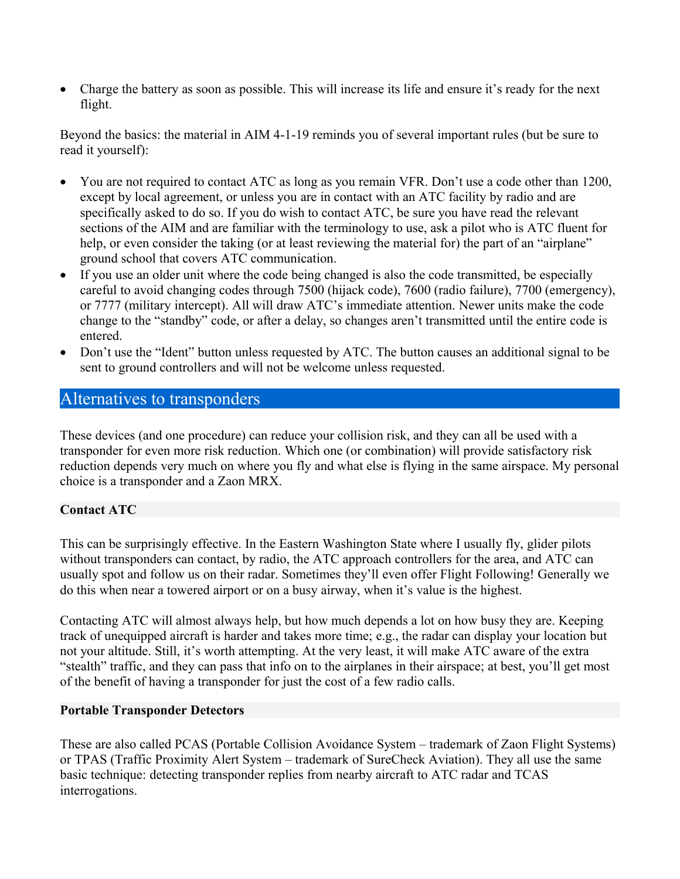Charge the battery as soon as possible. This will increase its life and ensure it's ready for the next flight.

Beyond the basics: the material in AIM 4-1-19 reminds you of several important rules (but be sure to read it yourself):

- You are not required to contact ATC as long as you remain VFR. Don't use a code other than 1200, except by local agreement, or unless you are in contact with an ATC facility by radio and are specifically asked to do so. If you do wish to contact ATC, be sure you have read the relevant sections of the AIM and are familiar with the terminology to use, ask a pilot who is ATC fluent for help, or even consider the taking (or at least reviewing the material for) the part of an "airplane" ground school that covers ATC communication.
- If you use an older unit where the code being changed is also the code transmitted, be especially careful to avoid changing codes through 7500 (hijack code), 7600 (radio failure), 7700 (emergency), or 7777 (military intercept). All will draw ATC's immediate attention. Newer units make the code change to the "standby" code, or after a delay, so changes aren't transmitted until the entire code is entered.
- Don't use the "Ident" button unless requested by ATC. The button causes an additional signal to be sent to ground controllers and will not be welcome unless requested.

# <span id="page-19-2"></span>Alternatives to transponders

These devices (and one procedure) can reduce your collision risk, and they can all be used with a transponder for even more risk reduction. Which one (or combination) will provide satisfactory risk reduction depends very much on where you fly and what else is flying in the same airspace. My personal choice is a transponder and a Zaon MRX.

### <span id="page-19-1"></span>**Contact ATC**

This can be surprisingly effective. In the Eastern Washington State where I usually fly, glider pilots without transponders can contact, by radio, the ATC approach controllers for the area, and ATC can usually spot and follow us on their radar. Sometimes they'll even offer Flight Following! Generally we do this when near a towered airport or on a busy airway, when it's value is the highest.

Contacting ATC will almost always help, but how much depends a lot on how busy they are. Keeping track of unequipped aircraft is harder and takes more time; e.g., the radar can display your location but not your altitude. Still, it's worth attempting. At the very least, it will make ATC aware of the extra "stealth" traffic, and they can pass that info on to the airplanes in their airspace; at best, you'll get most of the benefit of having a transponder for just the cost of a few radio calls.

### <span id="page-19-0"></span>**Portable Transponder Detectors**

These are also called PCAS (Portable Collision Avoidance System – trademark of Zaon Flight Systems) or TPAS (Traffic Proximity Alert System – trademark of SureCheck Aviation). They all use the same basic technique: detecting transponder replies from nearby aircraft to ATC radar and TCAS interrogations.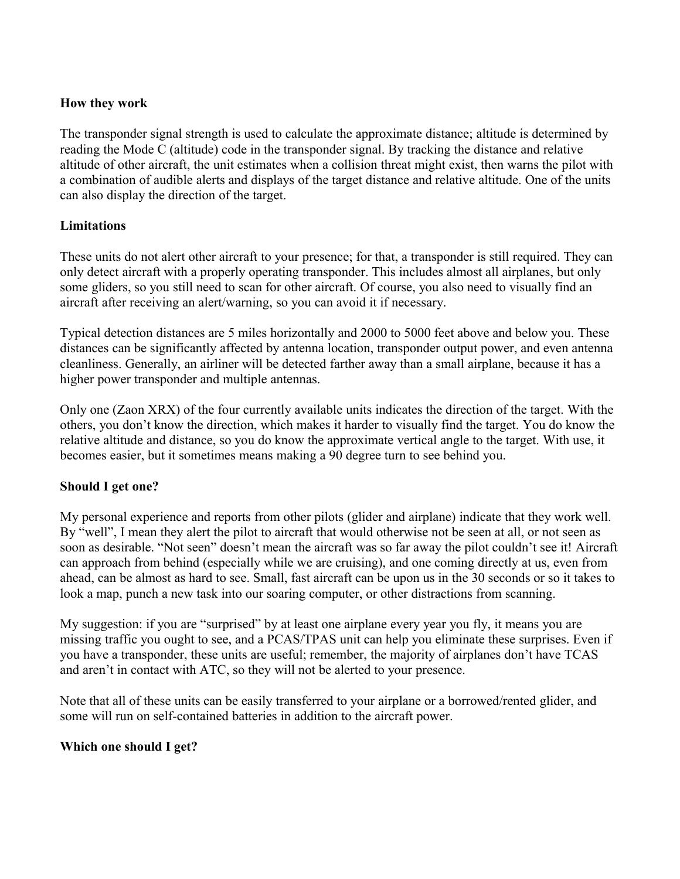### **How they work**

The transponder signal strength is used to calculate the approximate distance; altitude is determined by reading the Mode C (altitude) code in the transponder signal. By tracking the distance and relative altitude of other aircraft, the unit estimates when a collision threat might exist, then warns the pilot with a combination of audible alerts and displays of the target distance and relative altitude. One of the units can also display the direction of the target.

### **Limitations**

These units do not alert other aircraft to your presence; for that, a transponder is still required. They can only detect aircraft with a properly operating transponder. This includes almost all airplanes, but only some gliders, so you still need to scan for other aircraft. Of course, you also need to visually find an aircraft after receiving an alert/warning, so you can avoid it if necessary.

Typical detection distances are 5 miles horizontally and 2000 to 5000 feet above and below you. These distances can be significantly affected by antenna location, transponder output power, and even antenna cleanliness. Generally, an airliner will be detected farther away than a small airplane, because it has a higher power transponder and multiple antennas.

Only one (Zaon XRX) of the four currently available units indicates the direction of the target. With the others, you don't know the direction, which makes it harder to visually find the target. You do know the relative altitude and distance, so you do know the approximate vertical angle to the target. With use, it becomes easier, but it sometimes means making a 90 degree turn to see behind you.

#### **Should I get one?**

My personal experience and reports from other pilots (glider and airplane) indicate that they work well. By "well", I mean they alert the pilot to aircraft that would otherwise not be seen at all, or not seen as soon as desirable. "Not seen" doesn't mean the aircraft was so far away the pilot couldn't see it! Aircraft can approach from behind (especially while we are cruising), and one coming directly at us, even from ahead, can be almost as hard to see. Small, fast aircraft can be upon us in the 30 seconds or so it takes to look a map, punch a new task into our soaring computer, or other distractions from scanning.

My suggestion: if you are "surprised" by at least one airplane every year you fly, it means you are missing traffic you ought to see, and a PCAS/TPAS unit can help you eliminate these surprises. Even if you have a transponder, these units are useful; remember, the majority of airplanes don't have TCAS and aren't in contact with ATC, so they will not be alerted to your presence.

Note that all of these units can be easily transferred to your airplane or a borrowed/rented glider, and some will run on self-contained batteries in addition to the aircraft power.

### **Which one should I get?**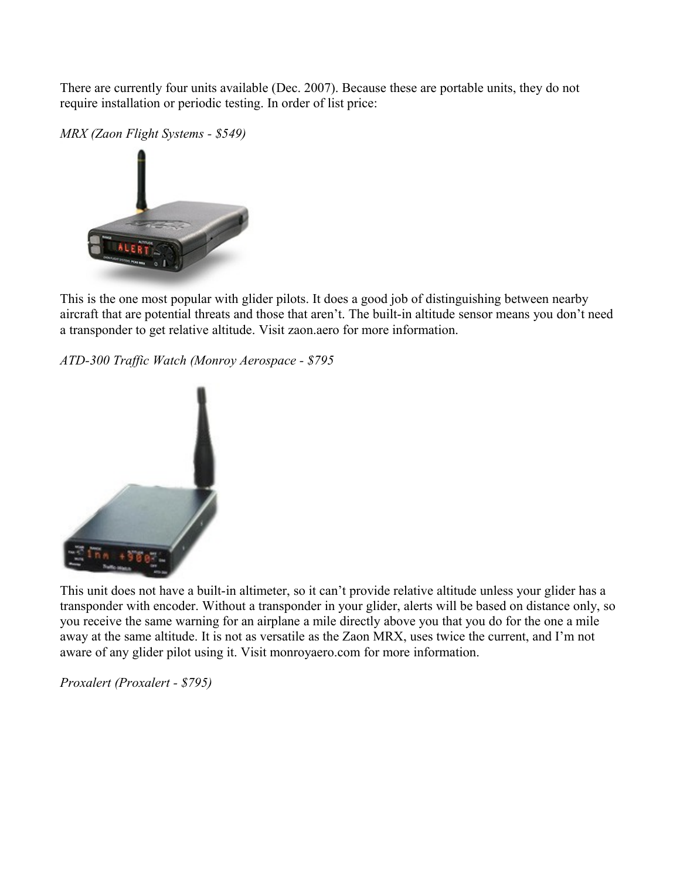There are currently four units available (Dec. 2007). Because these are portable units, they do not require installation or periodic testing. In order of list price:

*MRX (Zaon Flight Systems - \$549)*



This is the one most popular with glider pilots. It does a good job of distinguishing between nearby aircraft that are potential threats and those that aren't. The built-in altitude sensor means you don't need a transponder to get relative altitude. Visit zaon.aero for more information.

*ATD-300 Traffic Watch (Monroy Aerospace - \$795*



This unit does not have a built-in altimeter, so it can't provide relative altitude unless your glider has a transponder with encoder. Without a transponder in your glider, alerts will be based on distance only, so you receive the same warning for an airplane a mile directly above you that you do for the one a mile away at the same altitude. It is not as versatile as the Zaon MRX, uses twice the current, and I'm not aware of any glider pilot using it. Visit monroyaero.com for more information.

*Proxalert (Proxalert - \$795)*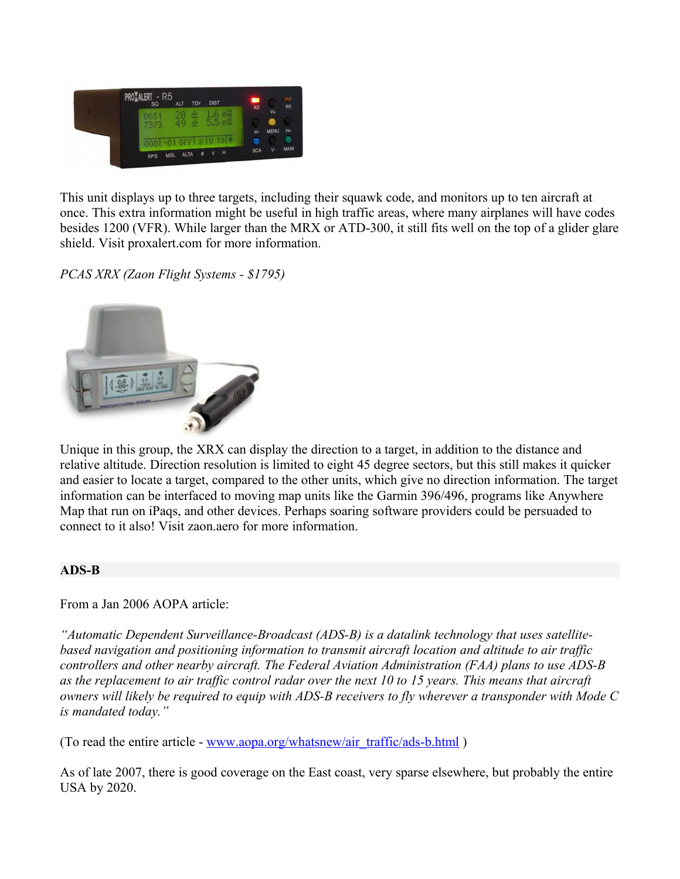

This unit displays up to three targets, including their squawk code, and monitors up to ten aircraft at once. This extra information might be useful in high traffic areas, where many airplanes will have codes besides 1200 (VFR). While larger than the MRX or ATD-300, it still fits well on the top of a glider glare shield. Visit proxalert.com for more information.

*PCAS XRX (Zaon Flight Systems - \$1795)*



Unique in this group, the XRX can display the direction to a target, in addition to the distance and relative altitude. Direction resolution is limited to eight 45 degree sectors, but this still makes it quicker and easier to locate a target, compared to the other units, which give no direction information. The target information can be interfaced to moving map units like the Garmin 396/496, programs like Anywhere Map that run on iPaqs, and other devices. Perhaps soaring software providers could be persuaded to connect to it also! Visit zaon.aero for more information.

#### <span id="page-22-0"></span>**ADS-B**

From a Jan 2006 AOPA article:

*"Automatic Dependent Surveillance-Broadcast (ADS-B) is a datalink technology that uses satellitebased navigation and positioning information to transmit aircraft location and altitude to air traffic controllers and other nearby aircraft. The Federal Aviation Administration (FAA) plans to use ADS-B as the replacement to air traffic control radar over the next 10 to 15 years. This means that aircraft owners will likely be required to equip with ADS-B receivers to fly wherever a transponder with Mode C is mandated today."*

(To read the entire article - www.aopa.org/whatsnew/air\_traffic/ads-b.html)

As of late 2007, there is good coverage on the East coast, very sparse elsewhere, but probably the entire USA by 2020.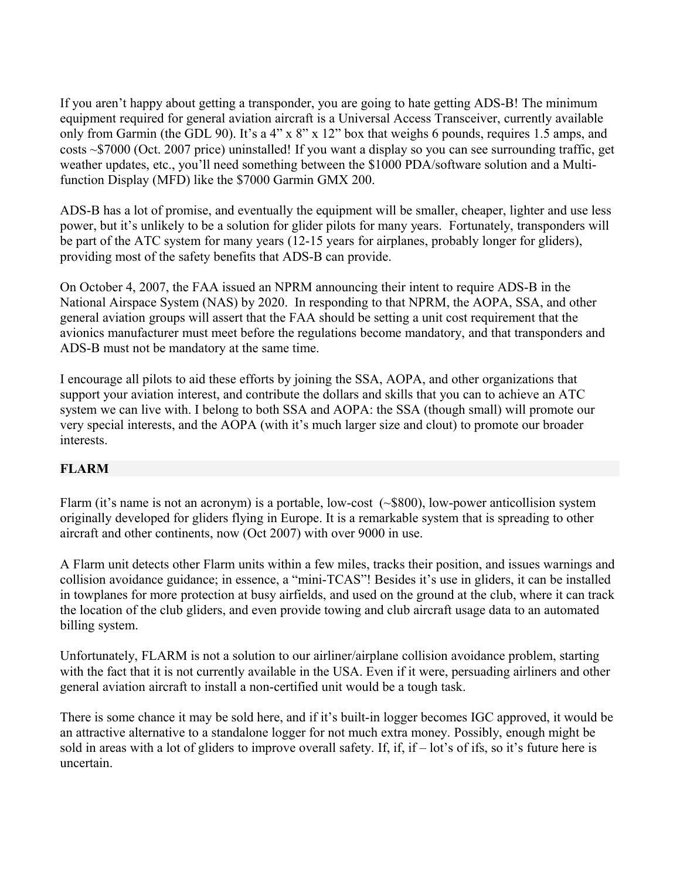If you aren't happy about getting a transponder, you are going to hate getting ADS-B! The minimum equipment required for general aviation aircraft is a Universal Access Transceiver, currently available only from Garmin (the GDL 90). It's a 4" x 8" x 12" box that weighs 6 pounds, requires 1.5 amps, and costs ~\$7000 (Oct. 2007 price) uninstalled! If you want a display so you can see surrounding traffic, get weather updates, etc., you'll need something between the \$1000 PDA/software solution and a Multifunction Display (MFD) like the \$7000 Garmin GMX 200.

ADS-B has a lot of promise, and eventually the equipment will be smaller, cheaper, lighter and use less power, but it's unlikely to be a solution for glider pilots for many years. Fortunately, transponders will be part of the ATC system for many years (12-15 years for airplanes, probably longer for gliders), providing most of the safety benefits that ADS-B can provide.

On October 4, 2007, the FAA issued an NPRM announcing their intent to require ADS-B in the National Airspace System (NAS) by 2020. In responding to that NPRM, the AOPA, SSA, and other general aviation groups will assert that the FAA should be setting a unit cost requirement that the avionics manufacturer must meet before the regulations become mandatory, and that transponders and ADS-B must not be mandatory at the same time.

I encourage all pilots to aid these efforts by joining the SSA, AOPA, and other organizations that support your aviation interest, and contribute the dollars and skills that you can to achieve an ATC system we can live with. I belong to both SSA and AOPA: the SSA (though small) will promote our very special interests, and the AOPA (with it's much larger size and clout) to promote our broader interests.

### <span id="page-23-0"></span>**FLARM**

Flarm (it's name is not an acronym) is a portable, low-cost  $(\sim 800)$ , low-power anticollision system originally developed for gliders flying in Europe. It is a remarkable system that is spreading to other aircraft and other continents, now (Oct 2007) with over 9000 in use.

A Flarm unit detects other Flarm units within a few miles, tracks their position, and issues warnings and collision avoidance guidance; in essence, a "mini-TCAS"! Besides it's use in gliders, it can be installed in towplanes for more protection at busy airfields, and used on the ground at the club, where it can track the location of the club gliders, and even provide towing and club aircraft usage data to an automated billing system.

Unfortunately, FLARM is not a solution to our airliner/airplane collision avoidance problem, starting with the fact that it is not currently available in the USA. Even if it were, persuading airliners and other general aviation aircraft to install a non-certified unit would be a tough task.

There is some chance it may be sold here, and if it's built-in logger becomes IGC approved, it would be an attractive alternative to a standalone logger for not much extra money. Possibly, enough might be sold in areas with a lot of gliders to improve overall safety. If, if, if – lot's of ifs, so it's future here is uncertain.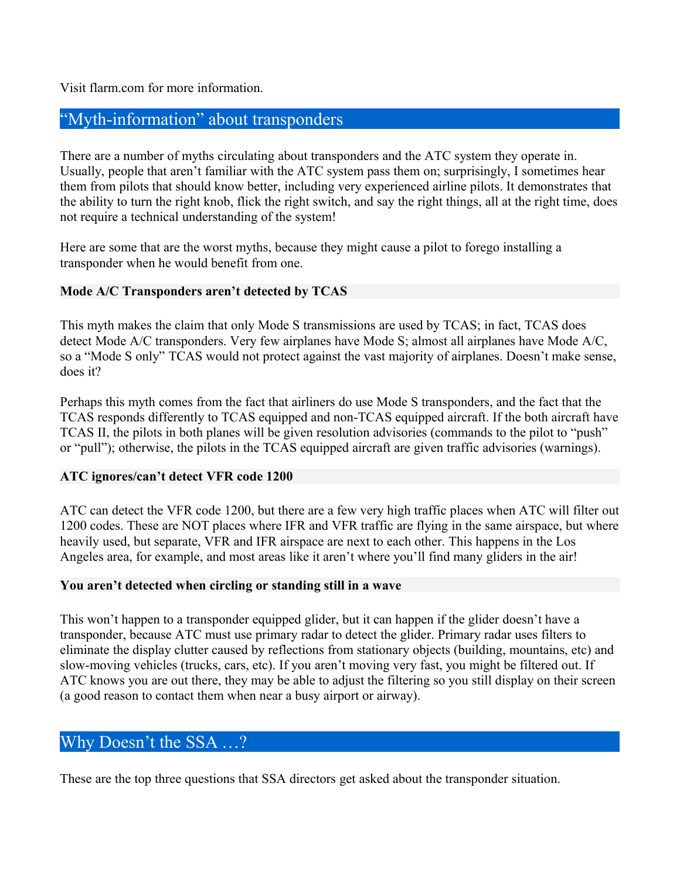Visit flarm.com for more information.

# <span id="page-24-4"></span>"Myth-information" about transponders

There are a number of myths circulating about transponders and the ATC system they operate in. Usually, people that aren't familiar with the ATC system pass them on; surprisingly, I sometimes hear them from pilots that should know better, including very experienced airline pilots. It demonstrates that the ability to turn the right knob, flick the right switch, and say the right things, all at the right time, does not require a technical understanding of the system!

Here are some that are the worst myths, because they might cause a pilot to forego installing a transponder when he would benefit from one.

#### <span id="page-24-3"></span>**Mode A/C Transponders aren't detected by TCAS**

This myth makes the claim that only Mode S transmissions are used by TCAS; in fact, TCAS does detect Mode A/C transponders. Very few airplanes have Mode S; almost all airplanes have Mode A/C, so a "Mode S only" TCAS would not protect against the vast majority of airplanes. Doesn't make sense, does it?

Perhaps this myth comes from the fact that airliners do use Mode S transponders, and the fact that the TCAS responds differently to TCAS equipped and non-TCAS equipped aircraft. If the both aircraft have TCAS II, the pilots in both planes will be given resolution advisories (commands to the pilot to "push" or "pull"); otherwise, the pilots in the TCAS equipped aircraft are given traffic advisories (warnings).

#### <span id="page-24-2"></span>**ATC ignores/can't detect VFR code 1200**

ATC can detect the VFR code 1200, but there are a few very high traffic places when ATC will filter out 1200 codes. These are NOT places where IFR and VFR traffic are flying in the same airspace, but where heavily used, but separate, VFR and IFR airspace are next to each other. This happens in the Los Angeles area, for example, and most areas like it aren't where you'll find many gliders in the air!

#### <span id="page-24-1"></span>**You aren't detected when circling or standing still in a wave**

This won't happen to a transponder equipped glider, but it can happen if the glider doesn't have a transponder, because ATC must use primary radar to detect the glider. Primary radar uses filters to eliminate the display clutter caused by reflections from stationary objects (building, mountains, etc) and slow-moving vehicles (trucks, cars, etc). If you aren't moving very fast, you might be filtered out. If ATC knows you are out there, they may be able to adjust the filtering so you still display on their screen (a good reason to contact them when near a busy airport or airway).

### <span id="page-24-0"></span>Why Doesn't the SSA …?

These are the top three questions that SSA directors get asked about the transponder situation.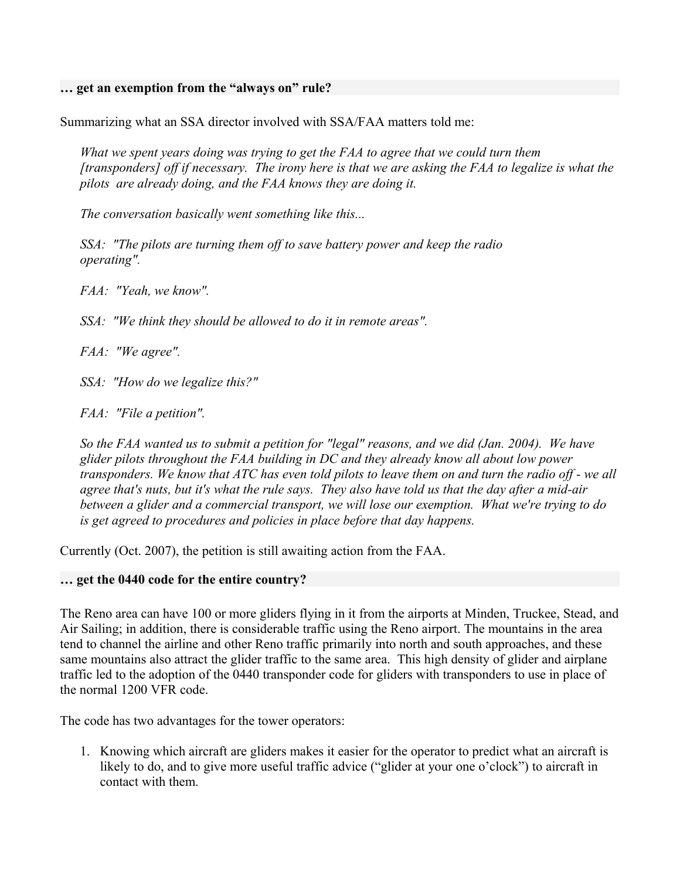#### <span id="page-25-1"></span>**… get an exemption from the "always on" rule?**

Summarizing what an SSA director involved with SSA/FAA matters told me:

*What we spent years doing was trying to get the FAA to agree that we could turn them [transponders] off if necessary. The irony here is that we are asking the FAA to legalize is what the pilots are already doing, and the FAA knows they are doing it.* 

*The conversation basically went something like this...*

*SSA: "The pilots are turning them off to save battery power and keep the radio operating".*

*FAA: "Yeah, we know".* 

*SSA: "We think they should be allowed to do it in remote areas".*

*FAA: "We agree".*

*SSA: "How do we legalize this?"*

*FAA: "File a petition".*

*So the FAA wanted us to submit a petition for "legal" reasons, and we did (Jan. 2004). We have glider pilots throughout the FAA building in DC and they already know all about low power transponders. We know that ATC has even told pilots to leave them on and turn the radio off - we all agree that's nuts, but it's what the rule says. They also have told us that the day after a mid-air between a glider and a commercial transport, we will lose our exemption. What we're trying to do is get agreed to procedures and policies in place before that day happens.* 

Currently (Oct. 2007), the petition is still awaiting action from the FAA.

#### <span id="page-25-0"></span>**… get the 0440 code for the entire country?**

The Reno area can have 100 or more gliders flying in it from the airports at Minden, Truckee, Stead, and Air Sailing; in addition, there is considerable traffic using the Reno airport. The mountains in the area tend to channel the airline and other Reno traffic primarily into north and south approaches, and these same mountains also attract the glider traffic to the same area. This high density of glider and airplane traffic led to the adoption of the 0440 transponder code for gliders with transponders to use in place of the normal 1200 VFR code.

The code has two advantages for the tower operators:

1. Knowing which aircraft are gliders makes it easier for the operator to predict what an aircraft is likely to do, and to give more useful traffic advice ("glider at your one o'clock") to aircraft in contact with them.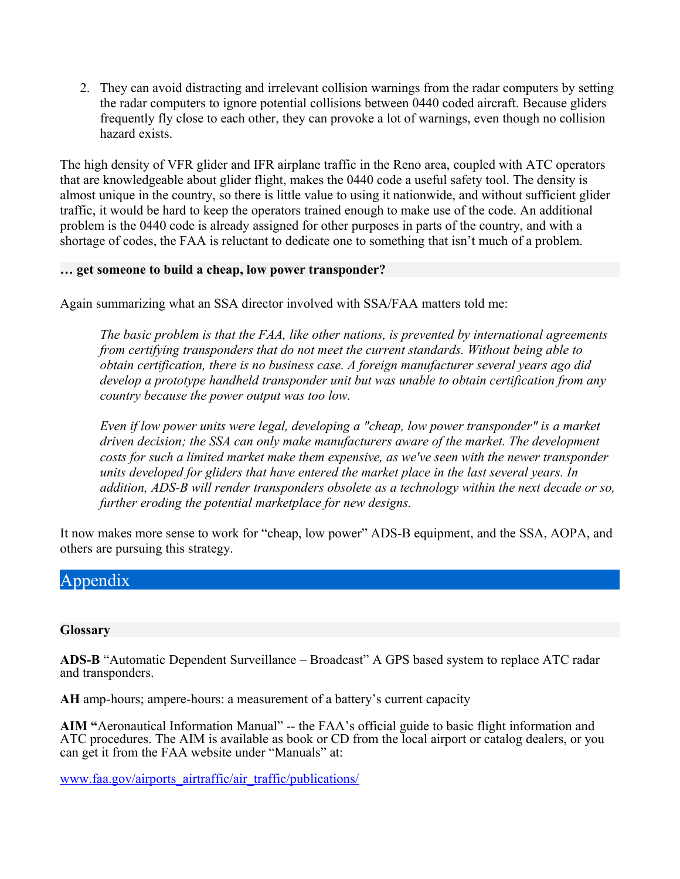2. They can avoid distracting and irrelevant collision warnings from the radar computers by setting the radar computers to ignore potential collisions between 0440 coded aircraft. Because gliders frequently fly close to each other, they can provoke a lot of warnings, even though no collision hazard exists.

The high density of VFR glider and IFR airplane traffic in the Reno area, coupled with ATC operators that are knowledgeable about glider flight, makes the 0440 code a useful safety tool. The density is almost unique in the country, so there is little value to using it nationwide, and without sufficient glider traffic, it would be hard to keep the operators trained enough to make use of the code. An additional problem is the 0440 code is already assigned for other purposes in parts of the country, and with a shortage of codes, the FAA is reluctant to dedicate one to something that isn't much of a problem.

#### <span id="page-26-2"></span>**… get someone to build a cheap, low power transponder?**

Again summarizing what an SSA director involved with SSA/FAA matters told me:

*The basic problem is that the FAA, like other nations, is prevented by international agreements from certifying transponders that do not meet the current standards. Without being able to obtain certification, there is no business case. A foreign manufacturer several years ago did develop a prototype handheld transponder unit but was unable to obtain certification from any country because the power output was too low.* 

*Even if low power units were legal, developing a "cheap, low power transponder" is a market driven decision; the SSA can only make manufacturers aware of the market. The development costs for such a limited market make them expensive, as we've seen with the newer transponder units developed for gliders that have entered the market place in the last several years. In addition, ADS-B will render transponders obsolete as a technology within the next decade or so, further eroding the potential marketplace for new designs.*

It now makes more sense to work for "cheap, low power" ADS-B equipment, and the SSA, AOPA, and others are pursuing this strategy.

# <span id="page-26-1"></span>Appendix

#### <span id="page-26-0"></span>**Glossary**

**ADS-B** "Automatic Dependent Surveillance – Broadcast" A GPS based system to replace ATC radar and transponders.

**AH** amp-hours; ampere-hours: a measurement of a battery's current capacity

**AIM "**Aeronautical Information Manual" -- the FAA's official guide to basic flight information and ATC procedures. The AIM is available as book or CD from the local airport or catalog dealers, or you can get it from the FAA website under "Manuals" at:

[www.faa.gov/airports\\_airtraffic/air\\_traffic/publications/](http://www.faa.gov/airports_airtraffic/air_traffic/publications/)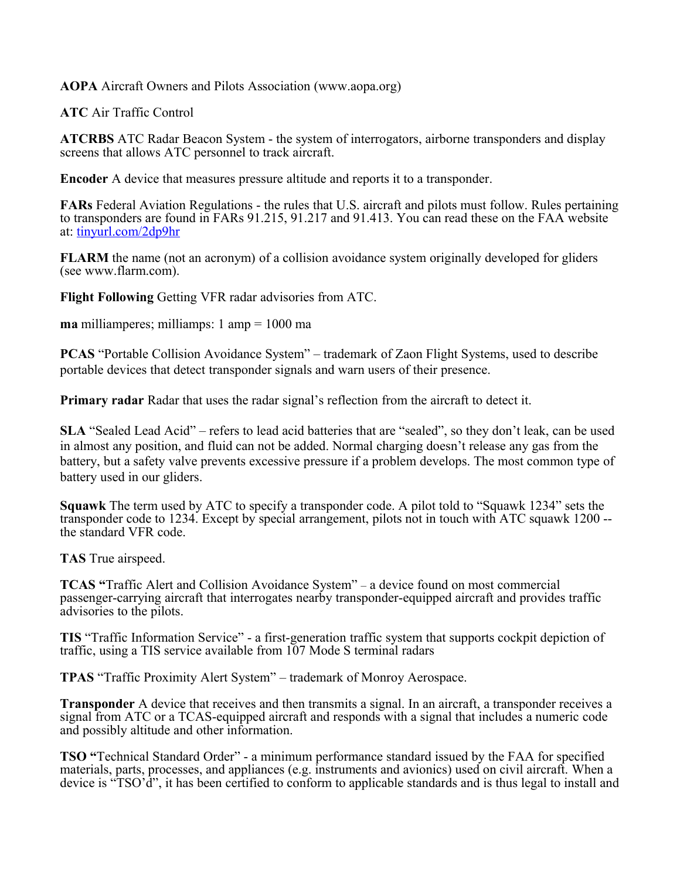**AOPA** Aircraft Owners and Pilots Association (www.aopa.org)

**ATC** Air Traffic Control

**ATCRBS** ATC Radar Beacon System - the system of interrogators, airborne transponders and display screens that allows ATC personnel to track aircraft.

**Encoder** A device that measures pressure altitude and reports it to a transponder.

**FARs** Federal Aviation Regulations - the rules that U.S. aircraft and pilots must follow. Rules pertaining to transponders are found in FARs 91.215, 91.217 and 91.413. You can read these on the FAA website at: [tinyurl.com/2dp9hr](http://tinyurl.com/2dp9hr)

**FLARM** the name (not an acronym) of a collision avoidance system originally developed for gliders (see www.flarm.com).

**Flight Following** Getting VFR radar advisories from ATC.

**ma** milliamperes; milliamps: 1 amp = 1000 ma

**PCAS** "Portable Collision Avoidance System" – trademark of Zaon Flight Systems, used to describe portable devices that detect transponder signals and warn users of their presence.

**Primary radar** Radar that uses the radar signal's reflection from the aircraft to detect it.

**SLA** "Sealed Lead Acid" – refers to lead acid batteries that are "sealed", so they don't leak, can be used in almost any position, and fluid can not be added. Normal charging doesn't release any gas from the battery, but a safety valve prevents excessive pressure if a problem develops. The most common type of battery used in our gliders.

**Squawk** The term used by ATC to specify a transponder code. A pilot told to "Squawk 1234" sets the transponder code to 1234. Except by special arrangement, pilots not in touch with ATC squawk 1200 - the standard VFR code.

**TAS** True airspeed.

**TCAS "**Traffic Alert and Collision Avoidance System" – a device found on most commercial passenger-carrying aircraft that interrogates nearby transponder-equipped aircraft and provides traffic advisories to the pilots.

**TIS** "Traffic Information Service" - a first-generation traffic system that supports cockpit depiction of traffic, using a TIS service available from 107 Mode S terminal radars

**TPAS** "Traffic Proximity Alert System" – trademark of Monroy Aerospace.

**Transponder** A device that receives and then transmits a signal. In an aircraft, a transponder receives a signal from ATC or a TCAS-equipped aircraft and responds with a signal that includes a numeric code and possibly altitude and other information.

**TSO "**Technical Standard Order" - a minimum performance standard issued by the FAA for specified materials, parts, processes, and appliances (e.g. instruments and avionics) used on civil aircraft. When a device is "TSO'd", it has been certified to conform to applicable standards and is thus legal to install and